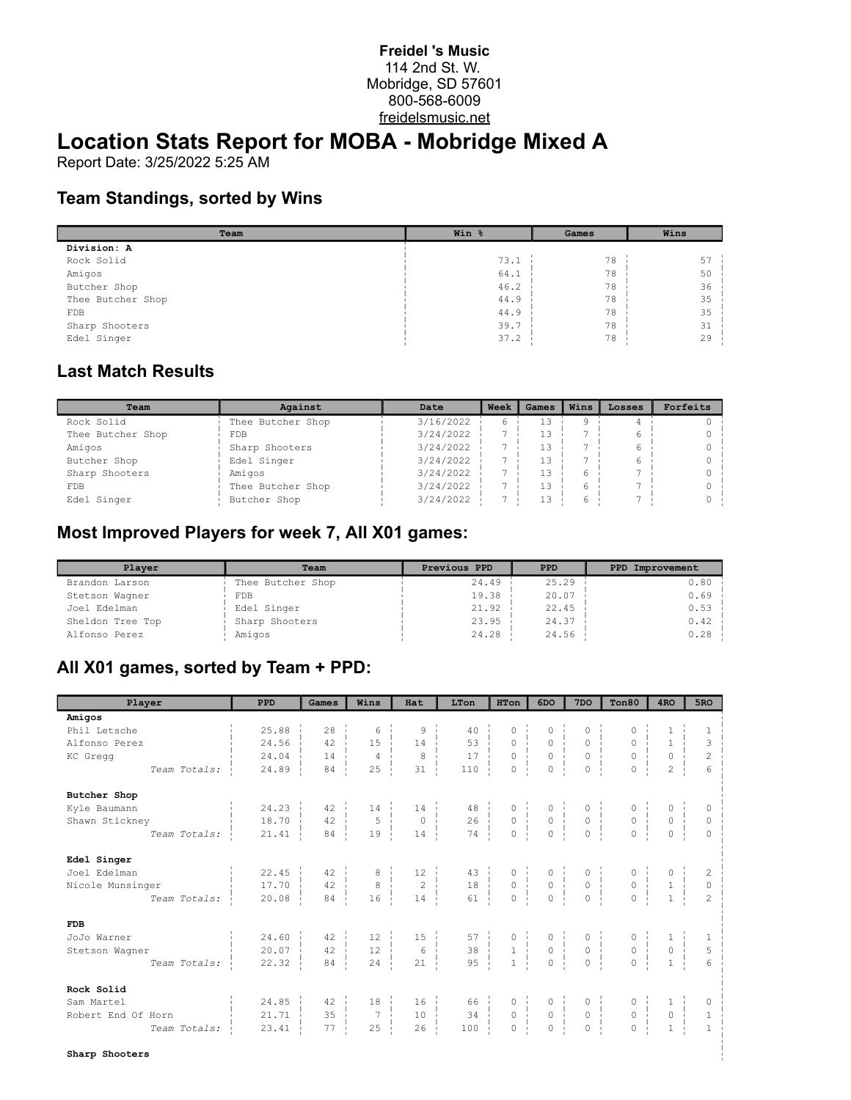#### **Freidel 's Music** 114 2nd St. W. Mobridge, SD 57601 800-568-6009 freidelsmusic.net

# **Location Stats Report for MOBA - Mobridge Mixed A**

Report Date: 3/25/2022 5:25 AM

#### **Team Standings, sorted by Wins**

| Team              | Win % | Games | Wins |
|-------------------|-------|-------|------|
| Division: A       |       |       |      |
| Rock Solid        | 73.1  | 78    | 57   |
| Amigos            | 64.1  | 78    | 50   |
| Butcher Shop      | 46.2  | 78    | 36   |
| Thee Butcher Shop | 44.9  | 78    | 35   |
| <b>FDB</b>        | 44.9  | 78    | 35   |
| Sharp Shooters    | 39.7  | 78    | 31   |
| Edel Singer       | 37.2  | 78    | 29   |

#### **Last Match Results**

| Team              | Against           | Date      | Week | Games | Wins | Losses | Forfeits |
|-------------------|-------------------|-----------|------|-------|------|--------|----------|
| Rock Solid        | Thee Butcher Shop | 3/16/2022 | h    |       |      |        |          |
| Thee Butcher Shop | FDB.              | 3/24/2022 |      |       |      |        |          |
| Amigos            | Sharp Shooters    | 3/24/2022 |      |       |      |        |          |
| Butcher Shop      | Edel Singer       | 3/24/2022 |      |       |      |        |          |
| Sharp Shooters    | Amigos            | 3/24/2022 | m    |       |      |        |          |
| FDB.              | Thee Butcher Shop | 3/24/2022 |      | 13    |      |        |          |
| Edel Singer       | Butcher Shop      | 3/24/2022 |      |       |      |        |          |

### **Most Improved Players for week 7, All X01 games:**

| Plaver           | Team              | Previous PPD | PPD.  | PPD Improvement |
|------------------|-------------------|--------------|-------|-----------------|
| Brandon Larson   | Thee Butcher Shop | 24.49        | 25.29 | $0.80$ i        |
| Stetson Wagner   | FDB               | 19.38        | 20.07 | 0.69            |
| Joel Edelman     | Edel Singer       | 21.92        | 22.45 | $0.53 -$        |
| Sheldon Tree Top | Sharp Shooters    | 23.95        | 24.37 | $0.42 -$        |
| Alfonso Perez    | Amigos            | 24.28        | 24.56 | 0.28            |

## **All X01 games, sorted by Team + PPD:**

| Player             | PPD   | Games    | Wins           | Hat            | LTon   | HTon                  | 6DO                      | 7 <sub>DO</sub>            | Ton80                                | 4 <sub>RO</sub> | 5RO                          |
|--------------------|-------|----------|----------------|----------------|--------|-----------------------|--------------------------|----------------------------|--------------------------------------|-----------------|------------------------------|
| Amigos             |       |          |                |                |        |                       |                          |                            |                                      |                 |                              |
| Phil Letsche       | 25.88 | 28       | 6              | 9              | 40     | 0                     | 0                        | 0                          | 0                                    |                 | 1                            |
| Alfonso Perez      | 24.56 | 42       | 15             | 14             | 53     | $\circ$               | $\circ$                  | $\circ$                    | $\circ$                              | $\mathbf{1}$    | 3                            |
| KC Gregg           | 24.04 | 14       | $\overline{4}$ | 8              | 17     | $\circ$               | $\circ$                  | $\circ$<br>-11             | $\circ$<br>$\mathbf{I}$              | $\circ$         | $\overline{c}$               |
| Team Totals:       | 24.89 | 84       | 25             | 31             | 110    | $\circ$               | $\mathsf{O}\xspace$      | $\circ$                    | 0                                    | $\overline{2}$  | 6                            |
| Butcher Shop       |       |          |                |                |        |                       |                          |                            |                                      |                 |                              |
| Kyle Baumann       | 24.23 | 42       | 14             | 14             | 48     | 0                     | 0                        | 0                          | $\circ$                              | 0               | 0                            |
| Shawn Stickney     | 18.70 | $42 -$   | 5              | $\circ$        | 26     | $\circ$               | $\mathbb O$              | $\circ$<br>÷               | 0 <sup>1</sup>                       | $\mathbb O$     | $\circ$                      |
| Team Totals:       | 21.41 | 84       | 19             | 14             | 74     | $\circ$               | $\circ$                  | $\circ$                    | $\circ$                              | $\circ$         | $\Omega$<br>$\mathbf{I}$     |
| Edel Singer        |       |          |                |                |        |                       |                          |                            |                                      |                 |                              |
| Joel Edelman       | 22.45 | 42       | 8              | 12             | 43     | 0                     | 0                        | 0                          | 0                                    | 0               | $\overline{c}$               |
| Nicole Munsinger   | 17.70 | 42       | 8              | $\overline{2}$ | $18\,$ | $\overline{0}$<br>÷ί. | $\overline{0}$           | ÷<br>$\circ$               | $0-1$                                | $\mathbf{1}$    | $\circ$<br>$\mathbf{L}$      |
| Team Totals:       | 20.08 | 84       | 16             | 14             | 61     | $\circ$               | $\circ$                  | $\circ$<br>$\mathbb{I}$    | $\overline{0}$                       | $\mathbf{1}$    | $\overline{c}$               |
| <b>FDB</b>         |       |          |                |                |        |                       |                          |                            |                                      |                 |                              |
| JoJo Warner        | 24.60 | $42 -$   | 12             | 15             | 57     | 0                     | 0                        | 0                          | $\begin{matrix} 0 \\ 0 \end{matrix}$ | $\mathbf{1}$    | 1                            |
| Stetson Wagner     | 20.07 | $42 - 1$ | 12             | $\epsilon$     | 38     | $\frac{1}{1}$         | $\frac{1}{1}$<br>$\circ$ | $\Omega$<br>$\blacksquare$ | - 1                                  | $\circ$         | 5<br>$\mathbf{r}$            |
| Team Totals:       | 22.32 | $84$ i   | $24 -$         | 21             | 95     | $1 - i$               | 0                        | $\circ$<br>$\mathbf{I}$    | $\mathsf{O}\xspace$<br>$\mathbf{I}$  | $\mathbf{1}$    | 6<br>$\pm$                   |
| Rock Solid         |       |          |                |                |        |                       |                          |                            |                                      |                 |                              |
| Sam Martel         | 24.85 | $42 - 1$ | $18 -$         | 16             | 66     | 0                     | $\circ$                  | $\circ$<br>÷.              | $0 - i$                              | $\mathbf{1}$    | 0                            |
| Robert End Of Horn | 21.71 | 35       | $\overline{7}$ | 10             | 34     | $0-1$                 | $\circ$                  | $\frac{1}{1}$<br>$\circ$   | $\circ$<br>- 11                      | $\mathbb O$     | $\mathbf{1}$<br>$\mathbf{I}$ |
| Team Totals:       | 23.41 | 77       | 25             | 26             | 100    | $\circ$               | $\circ$                  | $\circ$<br>$\mathbf{I}$    | $\overline{0}$<br>$\blacksquare$     | $\mathbf{1}$    | $\mathbf{1}$                 |
| Sharp Shooters     |       |          |                |                |        |                       |                          |                            |                                      |                 |                              |